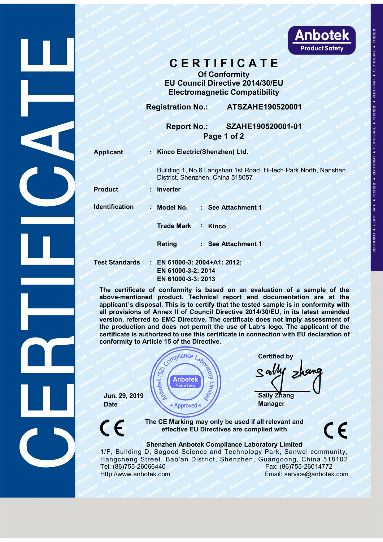

**C E R T I F I C A T E**<br>
Of Conformity<br>
U Council Directive 2014/30/EU<br>
Electromagnetic Compatibility<br>
Tration No.: ATSZAHE190520001<br>
Report No.: SZAHE190520001-01 Experience of Conformity<br> **Of Conformity**<br>
CONFORMITY CONFORMITY<br>
CONFORMITY<br>
CONFORMITY<br>
CONFORMITY<br>
CONFORMITY ATSZAHE190520001 **EU COUNCIL DIRECT DE COUNCIL DE COUNCIL DE COUNCIL DE COUNCIL DE CONSTANTE DE COUNCIL DE COUNCIL DE CONSTANTE DE COUNCIL DE CONSTANTE DE CONSTANTE DE CONSTANTE DE CONSTANTE DE CONSTANTE DE CONSTANTE DE CONSTANTE DE CONSTA** Electromagnetic Compatibility<br>
Report No.: SZAHE190520001-01 **Registration No.: CRIP 2014/30/EU<br>
Registration No.: ATSZAHE190520001<br>
Region No.: ATSZAHE190520001<br>
Region No.: ATSZAHE190520001<br>
Region No.: SZAHE190520001-01<br>
Region No.: SZAHE190520001-01<br>
Region 1 of 2** 

|                       | <b>Anbotek</b><br><b>Product Safety</b>                                                                                                                                                                                                                                                                                                                                                                                                                                                                                                                                                                                                          |             |  |  |  |
|-----------------------|--------------------------------------------------------------------------------------------------------------------------------------------------------------------------------------------------------------------------------------------------------------------------------------------------------------------------------------------------------------------------------------------------------------------------------------------------------------------------------------------------------------------------------------------------------------------------------------------------------------------------------------------------|-------------|--|--|--|
|                       | CERTIFICATE<br><b>Of Conformity</b><br><b>EU Council Directive 2014/30/EU</b><br><b>Electromagnetic Compatibility</b>                                                                                                                                                                                                                                                                                                                                                                                                                                                                                                                            | CERTIFICATE |  |  |  |
|                       | <b>Registration No.:</b><br>ATSZAHE190520001                                                                                                                                                                                                                                                                                                                                                                                                                                                                                                                                                                                                     |             |  |  |  |
|                       | SZAHE190520001-01<br><b>Report No.:</b><br>Page 1 of 2                                                                                                                                                                                                                                                                                                                                                                                                                                                                                                                                                                                           |             |  |  |  |
| <b>Applicant</b>      | Kinco Electric(Shenzhen) Ltd.                                                                                                                                                                                                                                                                                                                                                                                                                                                                                                                                                                                                                    |             |  |  |  |
|                       | Building 1, No.6 Langshan 1st Road, Hi-tech Park North, Nanshan<br>District, Shenzhen, China 518057                                                                                                                                                                                                                                                                                                                                                                                                                                                                                                                                              |             |  |  |  |
| <b>Product</b>        | Inverter                                                                                                                                                                                                                                                                                                                                                                                                                                                                                                                                                                                                                                         |             |  |  |  |
| <b>Identification</b> | : Model No.<br><b>See Attachment 1</b>                                                                                                                                                                                                                                                                                                                                                                                                                                                                                                                                                                                                           |             |  |  |  |
|                       | <b>Trade Mark</b><br><b>Kinco</b>                                                                                                                                                                                                                                                                                                                                                                                                                                                                                                                                                                                                                |             |  |  |  |
|                       | Rating<br>See Attachment 1                                                                                                                                                                                                                                                                                                                                                                                                                                                                                                                                                                                                                       |             |  |  |  |
| <b>Test Standards</b> | EN 61800-3: 2004+A1: 2012;<br>EN 61000-3-2: 2014<br>EN 61000-3-3: 2013                                                                                                                                                                                                                                                                                                                                                                                                                                                                                                                                                                           |             |  |  |  |
|                       | The certificate of conformity is based on an evaluation of a sample of the<br>above-mentioned product. Technical report and documentation are at the<br>applicant's disposal. This is to certify that the tested sample is in conformity with<br>all provisions of Annex II of Council Directive 2014/30/EU, in its latest amended<br>version, referred to EMC Directive. The certificate does not imply assessment of<br>the production and does not permit the use of Lab's logo. The applicant of the<br>certificate is authorized to use this certificate in connection with EU declaration of<br>conformity to Article 15 of the Directive. |             |  |  |  |
|                       |                                                                                                                                                                                                                                                                                                                                                                                                                                                                                                                                                                                                                                                  |             |  |  |  |

**the production and does not permit the use of Lab**<br> **the production and does not permit the use of the production and does not permit all provisions of a sample of the<br>
all provisions of Annex II of Council Directive 2014 certificate is authorized to use this certificate is authorized to use the Dividend Certificate is also certificate of conformity is based on an evaluation of a sample of the above-mentioned product. Technical report and** est Standards : EN 61800-3: 2004+A1: 2012;<br>
EN 61000-3-2: 2014<br>
EN 61000-3-2: 2014<br>
EN 61000-3-3: 2013<br>
The certificate of conformity is based on an evaluation adopte-mentioned product. Technical report and docume<br>
applica aluation of a sample of the<br>documentation are at the<br>dsample is in conformity with<br> $\frac{1}{30}$ /EU, in its latest amended<br>loes not imply assessment of<br>nection with EU declaration of<br>nection with EU declaration of<br>Certified b **Sally Zhang**<br> **Sally Zhang**<br> **Jun. 29, 2019**<br> **Sally Zhang**<br> **Sally Zhang**<br> **Jun. 29, 2019**<br> **Sally Zhang**<br> **Sally Zhang**<br> **Sally Zhang**<br> **Sally Zhang**<br> **Sally Zhang**<br> **Sally Zhang**<br> **Sally Zhang**<br> **Sally Zhang**<br> **Sally Z** 





extriction of the Directive.<br>
Compliance Labose Contributed<br> **EV Anbotek**<br> **EV Approved \***<br> **EV Approved \***<br> **EV Approved \***<br> **EV Approved \***<br> **EV Approved \***<br> **EV Approved \***<br> **EV Approved \***<br> **EV Approved \***<br> **EV Approve** ComplianceLaboratory<br>
Sally Zhang<br>
The CE Marking may only be used if all relevant and<br>
effective EU Directives are complied with<br>
Shenzhen Anbotek Compliance Laboratory Limited<br>
D, Sogood Science and Technology Park, San 1.29, 2019<br>
1. 29, 2019<br>
1. 29, 2019<br>
1. 29, 2019<br>
1. 29, 2019<br>
1. 29, 2019<br>
1. 29, 2019<br>
1. 29, 2019<br>
1. 29, 2019<br>
1. 29, 2019<br>
1. 29, 2019<br>
1. 29, 2019<br>
1. 29, 2019<br>
1. 29, 2019<br>
1. 29, 2019<br>
1. 29, 2019<br>
1. 29, 2006<br>
1  $\frac{\text{Jun. 29. 2019}}{\text{Date}}$ <br>  $\frac{\text{Jun. 29. 2019}}{\text{Rate}}$ <br>
The CE Marking may only be used if all relevant and<br>
effective EU Directives are complied with<br>
Shenzhen Anbotek Compliance Laboratory Limited<br>
1/F, Building D, Sogood S **Sally Zhang**<br>
Jun. 29, 2019<br>
Date<br>
The CE Marking may only be used if all relevant and<br>
effective EU Directives are complied with<br>
Shenzhen Anbotek Compliance Laboratory Limited<br>
The CE Marking may only be used if all re Manager<br>
Manager<br>
Manager<br>
Manager<br>
C<br>
The CE Marking may only be used if all relevant and<br>
effective EU Directives are complied with<br>
Shenzhen Anbotek Compliance Laboratory Limited<br>
Hangcheng Street, Bao'an District, Shen